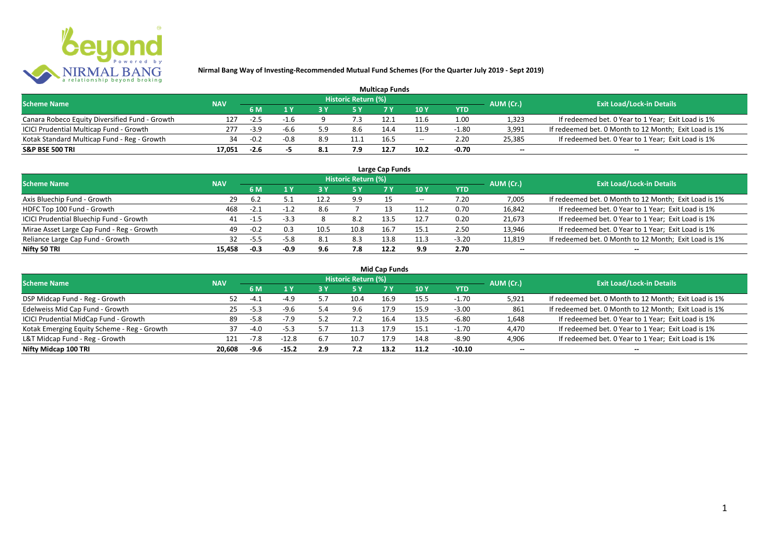

| <b>Multicap Funds</b>                          |            |        |        |     |                            |      |                          |         |                          |                                                       |  |  |
|------------------------------------------------|------------|--------|--------|-----|----------------------------|------|--------------------------|---------|--------------------------|-------------------------------------------------------|--|--|
| <b>Scheme Name</b>                             | <b>NAV</b> |        |        |     | <b>Historic Return (%)</b> |      |                          |         | AUM (Cr.)                | <b>Exit Load/Lock-in Details</b>                      |  |  |
|                                                |            | 6 M    |        |     |                            |      | 10Y                      | YTD     |                          |                                                       |  |  |
| Canara Robeco Equity Diversified Fund - Growth | 127        | $-2.5$ |        |     | 7.3                        |      | 11.6                     | 1.00    | 1,323                    | If redeemed bet. 0 Year to 1 Year; Exit Load is 1%    |  |  |
| ICICI Prudential Multicap Fund - Growth        | 277        | $-3.9$ | -6.6   | 5.9 | 8.6                        | 14.4 | 11.9                     | $-1.80$ | 3,991                    | If redeemed bet. 0 Month to 12 Month; Exit Load is 1% |  |  |
| Kotak Standard Multicap Fund - Reg - Growth    | 34         | $-0.2$ | $-0.8$ | 8.9 | 11.1                       | 16.5 | $\overline{\phantom{a}}$ | 2.20    | 25,385                   | If redeemed bet. 0 Year to 1 Year; Exit Load is 1%    |  |  |
| S&P BSE 500 TRI                                | 17.051     | $-2.6$ |        | 8.1 | 7.9                        | 12.7 | 10.2                     | $-0.70$ | $\overline{\phantom{a}}$ | $\overline{\phantom{a}}$                              |  |  |

| Large Cap Funds<br>Historic Return (%)    |            |        |        |      |      |      |       |            |                          |                                                       |  |  |
|-------------------------------------------|------------|--------|--------|------|------|------|-------|------------|--------------------------|-------------------------------------------------------|--|--|
| <b>Scheme Name</b>                        | <b>NAV</b> | 6 M    | 1 Y    |      | 5 Y  |      | 10Y   | <b>YTD</b> | AUM (Cr.)                | <b>Exit Load/Lock-in Details</b>                      |  |  |
| Axis Bluechip Fund - Growth               | 29         | -6.2   |        | 12.2 | 9.9  |      | $- -$ | 7.20       | 7,005                    | If redeemed bet. 0 Month to 12 Month; Exit Load is 1% |  |  |
| HDFC Top 100 Fund - Growth                | 468        | $-2.1$ | ے ۔1–  | 8.6  |      |      | 11.2  | 0.70       | 16,842                   | If redeemed bet. 0 Year to 1 Year; Exit Load is 1%    |  |  |
| ICICI Prudential Bluechip Fund - Growth   | 41         | $-1.5$ | $-3.3$ |      | 8.2  | 13.5 | 12.7  | 0.20       | 21,673                   | If redeemed bet. 0 Year to 1 Year; Exit Load is 1%    |  |  |
| Mirae Asset Large Cap Fund - Reg - Growth | 49         | $-0.2$ | 0.3    | 10.5 | 10.8 | 16.7 | 15.1  | 2.50       | 13,946                   | If redeemed bet. 0 Year to 1 Year; Exit Load is 1%    |  |  |
| Reliance Large Cap Fund - Growth          | 32         | $-5.5$ | $-5.8$ | 8.1  | 8.3  | 13.8 | 11.3  | $-3.20$    | 11,819                   | If redeemed bet. 0 Month to 12 Month; Exit Load is 1% |  |  |
| Nifty 50 TRI                              | 15.458     | $-0.3$ | $-0.9$ | 9.6  | 7.8  | 12.2 | 9.9   | 2.70       | $\overline{\phantom{a}}$ | $\overline{\phantom{a}}$                              |  |  |

| <b>Mid Cap Funds</b> |  |
|----------------------|--|
|----------------------|--|

| <b>Scheme Name</b>                          | <b>NAV</b> |        |         |     | Historic Return (%) |      |      |            | AUM (Cr.)                | <b>Exit Load/Lock-in Details</b>                      |
|---------------------------------------------|------------|--------|---------|-----|---------------------|------|------|------------|--------------------------|-------------------------------------------------------|
|                                             |            | 6 M    | 1 V     | 3 Y | 5 Y                 |      | 10 Y | <b>YTD</b> |                          |                                                       |
| DSP Midcap Fund - Reg - Growth              | 52         | -4.    | $-4.9$  |     | 10.4                | 16.9 | 15.5 | $-1.70$    | 5,921                    | If redeemed bet. 0 Month to 12 Month; Exit Load is 1% |
| Edelweiss Mid Cap Fund - Growth             | 25         | $-5.3$ | $-9.6$  |     | 9.6                 | 17.9 | 15.9 | $-3.00$    | 861                      | If redeemed bet. 0 Month to 12 Month; Exit Load is 1% |
| ICICI Prudential MidCap Fund - Growth       | 89         | $-5.8$ | $-7.9$  |     |                     | 16.4 | 13.5 | $-6.80$    | 1,648                    | If redeemed bet. 0 Year to 1 Year; Exit Load is 1%    |
| Kotak Emerging Equity Scheme - Reg - Growth |            | $-4.0$ | $-5.3$  |     | 11.3                | 17.9 | 15.1 | $-1.70$    | 4,470                    | If redeemed bet. 0 Year to 1 Year; Exit Load is 1%    |
| L&T Midcap Fund - Reg - Growth              | 121        | $-7.8$ | $-12.8$ | 6.7 | 10.7                | 17.9 | 14.8 | $-8.90$    | 4,906                    | If redeemed bet. 0 Year to 1 Year; Exit Load is 1%    |
| Nifty Midcap 100 TRI                        | 20.608     | -9.6   | $-15.2$ | 2.9 |                     | 13.2 | 11.2 | -10.10     | $\overline{\phantom{a}}$ | $\!-$                                                 |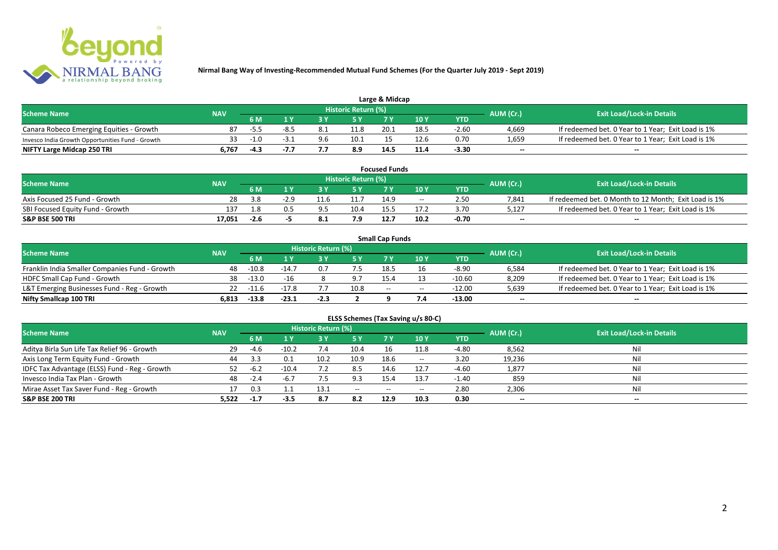

| Large & Midcap                                   |            |        |  |     |                     |      |      |         |                          |                                                    |  |  |
|--------------------------------------------------|------------|--------|--|-----|---------------------|------|------|---------|--------------------------|----------------------------------------------------|--|--|
| <b>Scheme Name</b>                               | <b>NAV</b> |        |  |     | Historic Return (%) |      |      |         | AUM (Cr.)                | <b>Exit Load/Lock-in Details</b>                   |  |  |
|                                                  |            | 6 M    |  |     |                     | 7 M  | 10Y  | YTD     |                          |                                                    |  |  |
| Canara Robeco Emerging Equities - Growth         |            |        |  | 8.1 | 11.8                | 20.1 | 18.5 | $-2.60$ | 4,669                    | If redeemed bet. 0 Year to 1 Year; Exit Load is 1% |  |  |
| Invesco India Growth Opportunities Fund - Growth |            | $-1.0$ |  | 9.6 | 10.1                |      |      | 0.70    | 1,659                    | If redeemed bet. 0 Year to 1 Year; Exit Load is 1% |  |  |
| NIFTY Large Midcap 250 TRI                       | 767ه       | -4.3   |  |     | 8.9                 | 14.  | 11.4 | -3.30   | $\overline{\phantom{a}}$ | $\overline{\phantom{a}}$                           |  |  |

| <b>Focused Funds</b>             |            |        |        |  |                     |      |       |            |                          |                                                       |  |  |
|----------------------------------|------------|--------|--------|--|---------------------|------|-------|------------|--------------------------|-------------------------------------------------------|--|--|
| <b>Scheme Name</b>               | <b>NAV</b> |        |        |  | Historic Return (%) |      |       |            | AUM (Cr.)                | <b>Exit Load/Lock-in Details</b>                      |  |  |
|                                  |            | 6 M    |        |  | <b>EV</b>           |      | 10 Y  | <b>YTD</b> |                          |                                                       |  |  |
| Axis Focused 25 Fund - Growth    | 28         | 3.8    | $-2.9$ |  | 11.7                | 14.9 | $- -$ | 2.50       | 7.841                    | If redeemed bet. 0 Month to 12 Month; Exit Load is 1% |  |  |
| SBI Focused Equity Fund - Growth | 137        | 1.8    | 0.5    |  | 10.4                |      |       | 3.70       | 5.127                    | If redeemed bet. 0 Year to 1 Year; Exit Load is 1%    |  |  |
| <b>S&amp;P BSE 500 TRI</b>       | 17.051     | $-2.6$ |        |  |                     |      | 10.2  | -0.70      | $\overline{\phantom{a}}$ | $- -$                                                 |  |  |

|                                                |            |             |         |                     |      | <b>Small Cap Funds</b> |                                       |            |                          |                                                    |
|------------------------------------------------|------------|-------------|---------|---------------------|------|------------------------|---------------------------------------|------------|--------------------------|----------------------------------------------------|
| <b>Scheme Name</b>                             | <b>NAV</b> |             |         | Historic Return (%) |      |                        |                                       |            | AUM (Cr.)                | <b>Exit Load/Lock-in Details</b>                   |
|                                                |            | 6 M         |         |                     |      |                        | 10Y                                   | <b>YTD</b> |                          |                                                    |
| Franklin India Smaller Companies Fund - Growth | 48         | $-10.8$     | $-14.7$ |                     |      | 18.5                   |                                       | $-8.90$    | 6,584                    | If redeemed bet. 0 Year to 1 Year; Exit Load is 1% |
| HDFC Small Cap Fund - Growth                   | 38         | -13.0       | $-16$   |                     | 9.7  | 15.4                   |                                       | $-10.60$   | 8,209                    | If redeemed bet. 0 Year to 1 Year; Exit Load is 1% |
| L&T Emerging Businesses Fund - Reg - Growth    |            | $22 - 11.6$ | $-17.8$ |                     | 10.8 | $-$                    | $\hspace{0.05cm}$ – $\hspace{0.05cm}$ | -12.00     | 5,639                    | If redeemed bet. 0 Year to 1 Year; Exit Load is 1% |
| Nifty Smallcap 100 TRI                         | 6.813      | $-13.8$     | $-23.1$ | $-2.3$              |      |                        |                                       | -13.00     | $\overline{\phantom{a}}$ | $- -$                                              |

|                                               |            |        |         |                     |           |           | ELSS Schemes (Tax Saving u/s 80-C)    |            |                          |                                  |
|-----------------------------------------------|------------|--------|---------|---------------------|-----------|-----------|---------------------------------------|------------|--------------------------|----------------------------------|
| <b>Scheme Name</b>                            | <b>NAV</b> |        |         | Historic Return (%) |           |           |                                       |            | AUM (Cr.)                | <b>Exit Load/Lock-in Details</b> |
|                                               |            | 6 M    | 1 Y     | 3 Y                 | <b>5Y</b> | <b>7Y</b> | 10Y                                   | <b>YTD</b> |                          |                                  |
| Aditya Birla Sun Life Tax Relief 96 - Growth  | 29         | $-4.6$ | $-10.2$ | 7.4                 | 10.4      | 16        | 11.8                                  | -4.80      | 8,562                    | Nil                              |
| Axis Long Term Equity Fund - Growth           | 44         | 3.3    | 0.1     | 10.2                | 10.9      | 18.6      | $\hspace{0.05cm}$ – $\hspace{0.05cm}$ | 3.20       | 19,236                   | Nil                              |
| IDFC Tax Advantage (ELSS) Fund - Reg - Growth |            | -6.2   | $-10.4$ |                     | 8.5       | 14.6      | 12.7                                  | $-4.60$    | 1,877                    | Nil                              |
| Invesco India Tax Plan - Growth               | 48         | $-2.4$ | $-6.7$  |                     | 9.3       | 15.4      | 13.7                                  | $-1.40$    | 859                      | Nil                              |
| Mirae Asset Tax Saver Fund - Reg - Growth     |            | 0.3    |         | 13.1                | $- -$     | $- -$     | $- -$                                 | 2.80       | 2,306                    | Nil                              |
| <b>S&amp;P BSE 200 TRI</b>                    | 5,522      | $-1.7$ | $-3.5$  | 8.7                 | 8.2       | 12.9      | 10.3                                  | 0.30       | $\overline{\phantom{a}}$ | $\overline{\phantom{a}}$         |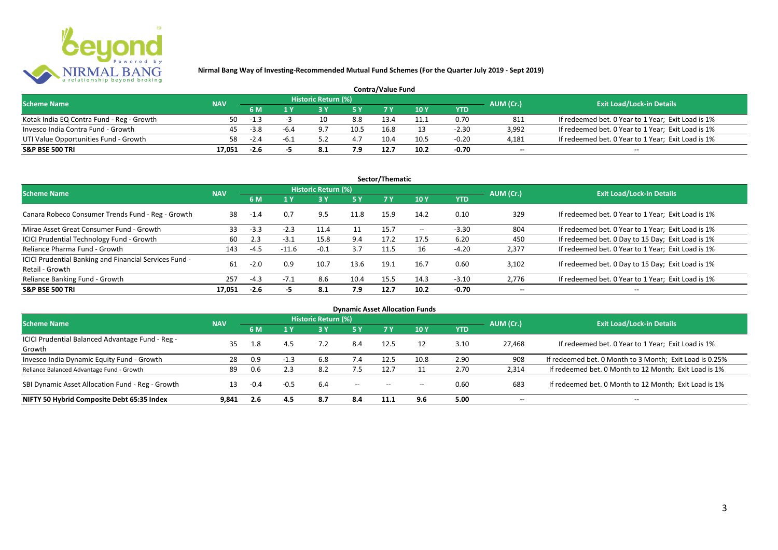

| <b>Contra/Value Fund</b>                  |            |        |      |                     |      |      |      |            |                          |                                                    |  |  |
|-------------------------------------------|------------|--------|------|---------------------|------|------|------|------------|--------------------------|----------------------------------------------------|--|--|
| <b>Scheme Name</b>                        | <b>NAV</b> |        |      | Historic Return (%) |      |      |      |            | AUM (Cr.)                | <b>Exit Load/Lock-in Details</b>                   |  |  |
|                                           |            | 6 M    |      |                     | cν   |      | 10 Y | <b>YTD</b> |                          |                                                    |  |  |
| Kotak India EQ Contra Fund - Reg - Growth | 50         | $-1.3$ |      |                     | 8.8  | 13.4 | 11.1 | 0.70       | 811                      | If redeemed bet. 0 Year to 1 Year; Exit Load is 1% |  |  |
| Invesco India Contra Fund - Growth        | 45         | $-3.8$ | -6.4 | 97                  | 10.5 | 16.8 |      | $-2.30$    | 3,992                    | If redeemed bet. 0 Year to 1 Year; Exit Load is 1% |  |  |
| UTI Value Opportunities Fund - Growth     | 58.        | $-2.4$ | -b.  |                     | 4.7  | 10.4 | 10.5 | $-0.20$    | 4,181                    | If redeemed bet. 0 Year to 1 Year; Exit Load is 1% |  |  |
| <b>S&amp;P BSE 500 TRI</b>                | 17.051     | $-2.6$ |      |                     | 7.9  | 12.7 | 10.2 | $-0.70$    | $\overline{\phantom{a}}$ | $- -$                                              |  |  |

|                                                                           |            |        |         |                     |           | Sector/Thematic |                          |            |                          |                                                    |
|---------------------------------------------------------------------------|------------|--------|---------|---------------------|-----------|-----------------|--------------------------|------------|--------------------------|----------------------------------------------------|
| <b>Scheme Name</b>                                                        | <b>NAV</b> |        |         | Historic Return (%) |           |                 |                          |            | AUM (Cr.)                | <b>Exit Load/Lock-in Details</b>                   |
|                                                                           |            | 6 M    | 1 Y     | 3Y                  | <b>5Y</b> | <b>7Y</b>       | 10Y                      | <b>YTD</b> |                          |                                                    |
| Canara Robeco Consumer Trends Fund - Reg - Growth                         | 38         | $-1.4$ | 0.7     | 9.5                 | 11.8      | 15.9            | 14.2                     | 0.10       | 329                      | If redeemed bet. 0 Year to 1 Year; Exit Load is 1% |
| Mirae Asset Great Consumer Fund - Growth                                  | 33         | $-3.3$ | $-2.3$  | 11.4                |           | 15.7            | $\hspace{0.05cm} \ldots$ | $-3.30$    | 804                      | If redeemed bet. 0 Year to 1 Year; Exit Load is 1% |
| <b>ICICI Prudential Technology Fund - Growth</b>                          | 60         | 2.3    | $-3.1$  | 15.8                | 9.4       | 17.2            | 17.5                     | 6.20       | 450                      | If redeemed bet. 0 Day to 15 Day; Exit Load is 1%  |
| Reliance Pharma Fund - Growth                                             | 143        | $-4.5$ | $-11.6$ | $-0.1$              | 3.7       | 11.5            | 16                       | $-4.20$    | 2,377                    | If redeemed bet. 0 Year to 1 Year; Exit Load is 1% |
| ICICI Prudential Banking and Financial Services Fund -<br>Retail - Growth | 61         | $-2.0$ | 0.9     | 10.7                | 13.6      | 19.1            | 16.7                     | 0.60       | 3.102                    | If redeemed bet. 0 Day to 15 Day; Exit Load is 1%  |
| Reliance Banking Fund - Growth                                            | 257        | $-4.3$ | $-7.1$  | 8.6                 | 10.4      | 15.5            | 14.3                     | $-3.10$    | 2,776                    | If redeemed bet. 0 Year to 1 Year; Exit Load is 1% |
| <b>S&amp;P BSE 500 TRI</b>                                                | 17,051     | $-2.6$ | -5      | 8.1                 | 7.9       | 12.7            | 10.2                     | $-0.70$    | $\overline{\phantom{a}}$ | $\overline{\phantom{a}}$                           |

|                                                  |            |        |        |                     |                          |       | <b>Dynamic Asset Allocation Funds</b> |            |                          |                                                         |
|--------------------------------------------------|------------|--------|--------|---------------------|--------------------------|-------|---------------------------------------|------------|--------------------------|---------------------------------------------------------|
| <b>Scheme Name</b>                               | <b>NAV</b> |        |        | Historic Return (%) |                          |       |                                       |            | AUM (Cr.)                | <b>Exit Load/Lock-in Details</b>                        |
|                                                  |            | 6 M    | 1 Y    | 73 Y                | 5 Y                      |       | 10Y                                   | <b>YTD</b> |                          |                                                         |
| ICICI Prudential Balanced Advantage Fund - Reg - |            |        |        |                     |                          |       |                                       |            |                          |                                                         |
| Growth                                           | 35         | 1.8    | 4.5    | 7.2                 | 8.4                      | 12.5  | 12                                    | 3.10       | 27.468                   | If redeemed bet. 0 Year to 1 Year; Exit Load is 1%      |
| Invesco India Dynamic Equity Fund - Growth       | 28         | 0.9    | $-1.3$ | 6.8                 | 7.4                      | 12.5  | 10.8                                  | 2.90       | 908                      | If redeemed bet. 0 Month to 3 Month; Exit Load is 0.25% |
| Reliance Balanced Advantage Fund - Growth        | 89         | 0.6    | 2.3    | 8.2                 | 7.5                      | 12.7  |                                       | 2.70       | 2.314                    | If redeemed bet. 0 Month to 12 Month; Exit Load is 1%   |
| SBI Dynamic Asset Allocation Fund - Reg - Growth |            | $-0.4$ | $-0.5$ | 6.4                 | $\hspace{0.05cm} \ldots$ | $- -$ | $- -$                                 | 0.60       | 683                      | If redeemed bet. 0 Month to 12 Month; Exit Load is 1%   |
| NIFTY 50 Hybrid Composite Debt 65:35 Index       | 9,841      | 2.6    | 4.5    | 8.7                 | 8.4                      | 11.1  | 9.6                                   | 5.00       | $\overline{\phantom{a}}$ | $\overline{\phantom{a}}$                                |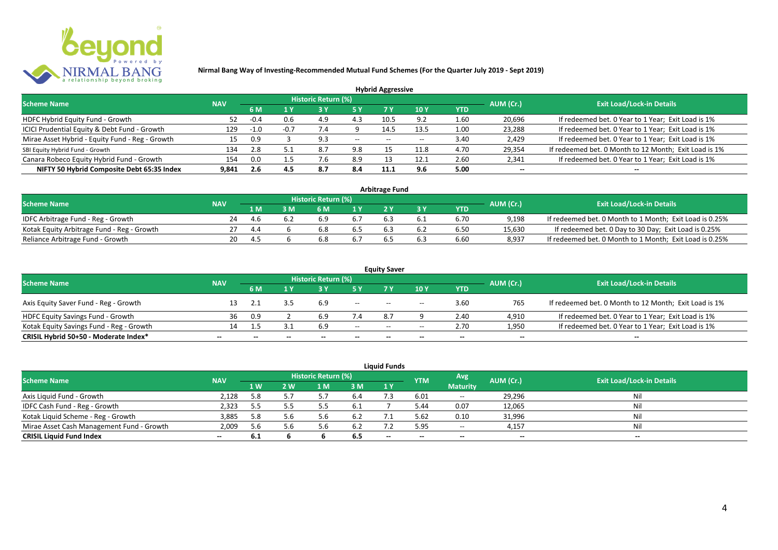

|                                                 |            |        |     |                            |       | <b>Hybrid Aggressive</b> |      |      |                          |                                                       |
|-------------------------------------------------|------------|--------|-----|----------------------------|-------|--------------------------|------|------|--------------------------|-------------------------------------------------------|
| <b>Scheme Name</b>                              | <b>NAV</b> |        |     | <b>Historic Return (%)</b> |       |                          |      |      | AUM (Cr.)                | <b>Exit Load/Lock-in Details</b>                      |
|                                                 |            | 6 M    | 1 Y |                            |       | 7 Y                      | 10Y  | YTD  |                          |                                                       |
| HDFC Hybrid Equity Fund - Growth                |            | $-0.4$ | 0.6 | 4.9                        | 4.3   | 10.5                     | 9.2  | 1.60 | 20,696                   | If redeemed bet. 0 Year to 1 Year; Exit Load is 1%    |
| ICICI Prudential Equity & Debt Fund - Growth    | 129        | -1.0   |     | $\cdot$ .4                 |       | 14.5                     | 13.5 | 1.00 | 23,288                   | If redeemed bet. 0 Year to 1 Year; Exit Load is 1%    |
| Mirae Asset Hybrid - Equity Fund - Reg - Growth | 15         | 0.9    |     |                            | $- -$ | $- -$                    |      | 3.40 | 2,429                    | If redeemed bet. 0 Year to 1 Year; Exit Load is 1%    |
| SBI Equity Hybrid Fund - Growth                 | 134        | 2.8    |     | 8.7                        | 9.8   |                          | 11.8 | 4.70 | 29,354                   | If redeemed bet. 0 Month to 12 Month; Exit Load is 1% |
| Canara Robeco Equity Hybrid Fund - Growth       | 154        | 0.0    |     | '.b                        | 8.9   |                          | 12.1 | 2.60 | 2,341                    | If redeemed bet. 0 Year to 1 Year; Exit Load is 1%    |
| NIFTY 50 Hybrid Composite Debt 65:35 Index      | 9,841      | 2.6    | 4.5 | 8.7                        | 8.4   | 11.2                     | 9.6  | 5.00 | $\overline{\phantom{a}}$ | $- -$                                                 |

| <b>Arbitrage Fund</b>                      |            |      |  |                     |     |                                                             |     |      |        |                                                         |  |  |  |  |
|--------------------------------------------|------------|------|--|---------------------|-----|-------------------------------------------------------------|-----|------|--------|---------------------------------------------------------|--|--|--|--|
| <b>Scheme Name</b>                         | <b>NAV</b> |      |  | Historic Return (%) |     |                                                             |     |      |        |                                                         |  |  |  |  |
|                                            |            | 1 M  |  | 6 M                 |     | <b>Exit Load/Lock-in Details</b><br>AUM (Cr.)<br><b>YTD</b> |     |      |        |                                                         |  |  |  |  |
| IDFC Arbitrage Fund - Reg - Growth         | 24         | 4.6  |  | 6.9                 |     |                                                             |     | 6.70 | 9.198  | If redeemed bet. 0 Month to 1 Month; Exit Load is 0.25% |  |  |  |  |
| Kotak Equity Arbitrage Fund - Reg - Growth |            | -4.4 |  | 6.8                 | 0.S |                                                             | 6.2 | 6.50 | 15,630 | If redeemed bet. 0 Day to 30 Day; Exit Load is 0.25%    |  |  |  |  |
| Reliance Arbitrage Fund - Growth           | 20         | 4.5  |  | 6.8                 |     |                                                             | 6.3 | 6.60 | 8.937  | If redeemed bet. 0 Month to 1 Month; Exit Load is 0.25% |  |  |  |  |

| <b>Equity Saver</b>                      |                          |              |       |                            |                          |       |       |                          |                          |                                                       |  |  |  |
|------------------------------------------|--------------------------|--------------|-------|----------------------------|--------------------------|-------|-------|--------------------------|--------------------------|-------------------------------------------------------|--|--|--|
| <b>Scheme Name</b>                       | <b>NAV</b>               |              |       | <b>Historic Return (%)</b> |                          |       |       |                          | AUM (Cr.)                | <b>Exit Load/Lock-in Details</b>                      |  |  |  |
|                                          |                          | 6 M          |       |                            |                          |       | 10 Y  | <b>YTD</b>               |                          |                                                       |  |  |  |
| Axis Equity Saver Fund - Reg - Growth    |                          |              |       | 6.9                        | $\overline{\phantom{a}}$ | $- -$ | $- -$ | 3.60                     | 765                      | If redeemed bet. 0 Month to 12 Month; Exit Load is 1% |  |  |  |
| HDFC Equity Savings Fund - Growth        | 36                       | 0.9          |       |                            | 7.4                      | 8.7   |       | 2.40                     | 4,910                    | If redeemed bet. 0 Year to 1 Year; Exit Load is 1%    |  |  |  |
| Kotak Equity Savings Fund - Reg - Growth | 14.                      |              |       | 6.9                        | $- -$                    | $- -$ | $- -$ | 2.70                     | 1,950                    | If redeemed bet. 0 Year to 1 Year; Exit Load is 1%    |  |  |  |
| CRISIL Hybrid 50+50 - Moderate Index*    | $\overline{\phantom{a}}$ | $\mathbf{m}$ | $- -$ | --                         | $\overline{\phantom{a}}$ | $- -$ | $- -$ | $\overline{\phantom{a}}$ | $\overline{\phantom{a}}$ | $- -$                                                 |  |  |  |

| <b>Liquid Funds</b>                       |            |      |     |                     |      |       |            |                          |           |                                  |  |  |  |
|-------------------------------------------|------------|------|-----|---------------------|------|-------|------------|--------------------------|-----------|----------------------------------|--|--|--|
| <b>Scheme Name</b>                        | <b>NAV</b> |      |     | Historic Return (%) |      |       | <b>YTM</b> | Avg                      | AUM (Cr.) | <b>Exit Load/Lock-in Details</b> |  |  |  |
|                                           |            | 1 W. | 2 W | 1 M                 | 3 M  | 1Y    |            | <b>Maturity</b>          |           |                                  |  |  |  |
| Axis Liquid Fund - Growth                 | 2,128      | 5.8  |     |                     | -6.4 |       | 6.01       | $- -$                    | 29,296    | Nil                              |  |  |  |
| IDFC Cash Fund - Reg - Growth             | 2,323      | 5.5  |     |                     | 6.1  |       | 5.44       | 0.07                     | 12,065    | Nil                              |  |  |  |
| Kotak Liquid Scheme - Reg - Growth        | 3,885      | 5.8  | 5.6 | p.b                 | -6.2 |       | 5.62       | 0.10                     | 31,996    | Nil                              |  |  |  |
| Mirae Asset Cash Management Fund - Growth | 2,009      | 5.6  |     |                     | 6.2  |       | 5.95       | $- -$                    | 4,157     | Nil                              |  |  |  |
| <b>CRISIL Liquid Fund Index</b>           | $\sim$     | 6.1  |     |                     | 6.5  | $- -$ | $- -$      | $\overline{\phantom{a}}$ | --        | $- -$                            |  |  |  |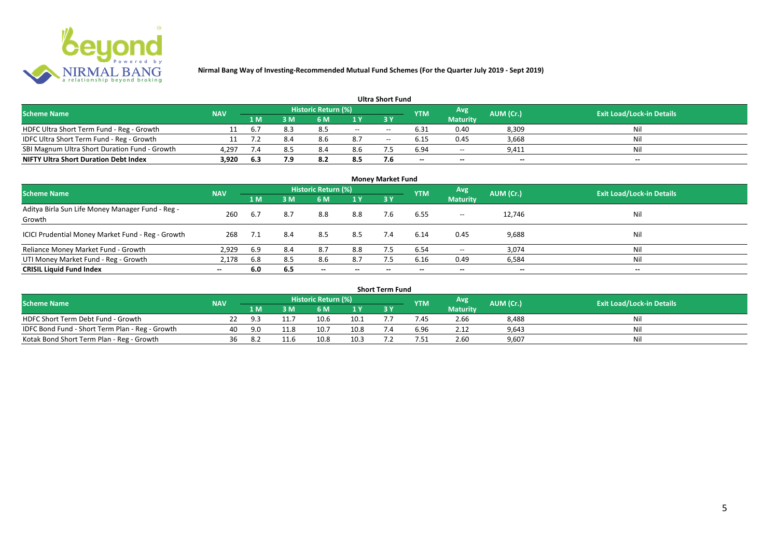

#### **1 M 3 M 6 M 1 Y 3 Y** HDFC Ultra Short Term Fund - Reg - Growth 11 6.7 8.3 8.5 -- - 6.31 0.40 8,309 Nil<br>11 7.2 8.4 8.6 8.7 -- 6.15 0.45 3,668 Nil IDFC Ultra Short Term Fund - Reg - Growth 11 7.2 8.4 8.6 8.7 -- 6.15 0.45 3,668 Nil SBI Magnum Ultra Short Duration Fund - Growth 4,297 7.4 8.5 8.4 8.6 7.5 6.94 -- 9,411 Nil **NIFTY Ultra Short Duration Debt Index 3,920 6.3 7.9 8.2 8.5 7.6 -- -- -- -- Avg Maturity Historic Return (%) YTM Ultra Short Fund** Scheme Name **NAV NAV Historic Return (%)** NAV Historic Return (%) Note and the May AUM (Cr.) Exit Load/Lock-in Details<br>The Scheme Name of the State Load/Lock-in Details

| <b>Money Market Fund</b>                                   |            |     |     |                            |                          |           |            |                 |                          |                                  |  |  |  |
|------------------------------------------------------------|------------|-----|-----|----------------------------|--------------------------|-----------|------------|-----------------|--------------------------|----------------------------------|--|--|--|
| <b>Scheme Name</b>                                         | <b>NAV</b> |     |     | <b>Historic Return (%)</b> |                          |           | <b>YTM</b> | Avg             | AUM (Cr.)                | <b>Exit Load/Lock-in Details</b> |  |  |  |
|                                                            |            | 1 M | 3M  | 6 M                        | 1Y                       | <b>3Y</b> |            | <b>Maturity</b> |                          |                                  |  |  |  |
| Aditya Birla Sun Life Money Manager Fund - Reg -<br>Growth | 260        | 6.7 | 8.7 | 8.8                        | 8.8                      | 7.6       | 6.55       | $- -$           | 12,746                   | Nil                              |  |  |  |
| ICICI Prudential Money Market Fund - Reg - Growth          | 268        | 7.1 | 8.4 | 8.5                        | 8.5                      | 7.4       | 6.14       | 0.45            | 9,688                    | Nil                              |  |  |  |
| Reliance Money Market Fund - Growth                        | 2,929      | 6.9 | 8.4 | 8.7                        | 8.8                      | 7.5       | 6.54       | $- -$           | 3,074                    | Nil                              |  |  |  |
| UTI Money Market Fund - Reg - Growth                       | 2,178      | 6.8 | 8.5 | 8.6                        | 8.7                      | 7.5       | 6.16       | 0.49            | 6,584                    | Nil                              |  |  |  |
| <b>CRISIL Liquid Fund Index</b>                            | $- -$      | 6.0 | 6.5 | $\overline{\phantom{a}}$   | $\overline{\phantom{a}}$ | $\!-$     | $\!-$      | $\sim$          | $\overline{\phantom{a}}$ | $\overline{\phantom{a}}$         |  |  |  |

| <b>Short Term Fund</b>                          |            |     |      |                     |      |  |            |                 |           |                                  |  |  |  |  |
|-------------------------------------------------|------------|-----|------|---------------------|------|--|------------|-----------------|-----------|----------------------------------|--|--|--|--|
| <b>Scheme Name</b>                              | <b>NAV</b> |     |      | Historic Return (%) |      |  | <b>YTM</b> | Avg             | AUM (Cr.) | <b>Exit Load/Lock-in Details</b> |  |  |  |  |
|                                                 |            | 1 M | 3 M  | 6 M                 | 1 Y  |  |            | <b>Maturity</b> |           |                                  |  |  |  |  |
| HDFC Short Term Debt Fund - Growth              |            |     |      | 10.6                | 10.1 |  | 7.45       | 2.66            | 8,488     | Nil                              |  |  |  |  |
| IDFC Bond Fund - Short Term Plan - Reg - Growth | 40         | 9.0 | 11.8 | 10.7                | 10.8 |  | 6.96       | 2.12            | 9,643     | Nil                              |  |  |  |  |
| Kotak Bond Short Term Plan - Reg - Growth       | 36         | 8.2 |      | 10.8                | 10.3 |  | 7.51       | 2.60            | 9,607     | Nil                              |  |  |  |  |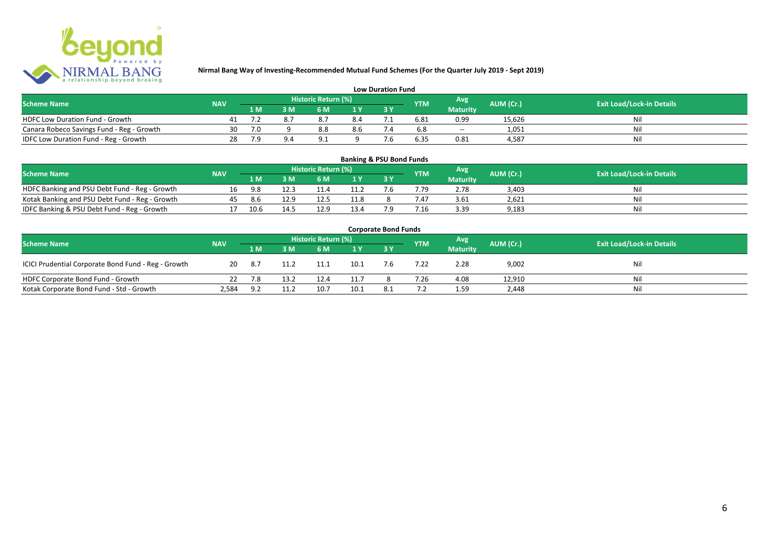

| <b>Low Duration Fund</b>                  |            |     |  |                     |     |     |            |                 |           |                                  |  |  |  |  |
|-------------------------------------------|------------|-----|--|---------------------|-----|-----|------------|-----------------|-----------|----------------------------------|--|--|--|--|
| <b>Scheme Name</b>                        | <b>NAV</b> |     |  | Historic Return (%) |     |     | <b>YTM</b> | Avg             | AUM (Cr.) | <b>Exit Load/Lock-in Details</b> |  |  |  |  |
|                                           |            | 1 M |  | 6 M.                |     |     |            | <b>Maturity</b> |           |                                  |  |  |  |  |
| <b>HDFC Low Duration Fund - Growth</b>    |            |     |  |                     | 8.4 |     | 6.81       | 0.99            | 15,626    | Nli                              |  |  |  |  |
| Canara Robeco Savings Fund - Reg - Growth | 30         | 7.0 |  | 8.8                 | 8.6 | '.4 | 6.8        | $- -$           | 1,051     | Ni                               |  |  |  |  |
| IDFC Low Duration Fund - Reg - Growth     | 28         | 7.9 |  |                     |     |     | 6.35       | 0.81            | 4.587     | Ni                               |  |  |  |  |

#### **1 M 3 M 6 M 1 Y 3 Y** Notak Banking and PSU Debt Fund - Reg - Growth 16 9.8 12.3 11.4 11.2 7.6 7.79 2.78 3,403 Nil<br>
Kotak Banking and PSU Debt Fund - Reg - Growth 45 8.6 12.9 12.5 11.8 8 7.47 3.61 2,621 Nil Notak Banking and PSU Debt Fund - Reg - Growth <br>
17 10.6 11.5 12.9 13.4 7.9 7.16 3.39 9,183 11.8 9 9,183 IDFC Banking & PSU Debt Fund - Reg - Growth 17 10.6 14.5 12.9 13.4 7.9 7.16 3.39 9,183 **Banking & PSU Bond Funds Scheme Name NAV REGISTER AUM (Cr.) AUM (Cr.)** Exit Load/Lock-in Details **Historic Return (%) Maturity**

| <b>Corporate Bond Funds</b>                         |            |     |      |                     |                |           |            |                  |           |                                  |  |  |  |  |
|-----------------------------------------------------|------------|-----|------|---------------------|----------------|-----------|------------|------------------|-----------|----------------------------------|--|--|--|--|
| <b>Scheme Name</b>                                  | <b>NAV</b> |     |      | Historic Return (%) |                |           | <b>YTM</b> | Avg <sup>1</sup> | AUM (Cr.) | <b>Exit Load/Lock-in Details</b> |  |  |  |  |
|                                                     |            | 1 M | 3 M  | 6 M                 | 1 <sub>Y</sub> | <b>3Y</b> |            | <b>Maturity</b>  |           |                                  |  |  |  |  |
| ICICI Prudential Corporate Bond Fund - Reg - Growth | 20         | 8.7 | 11.2 | 11.1                | 10.1           | 7.6       | 7.22       | 2.28             | 9,002     | Nil                              |  |  |  |  |
| HDFC Corporate Bond Fund - Growth                   |            | 7.8 | 13.2 | 12.4                | 11.7           |           | '.26       | 4.08             | 12,910    | Nil                              |  |  |  |  |
| Kotak Corporate Bond Fund - Std - Growth            | 2,584      | 9.2 | 11.2 | 10.7                | 10.1           | 8.1       |            | 1.59             | 2,448     | Nil                              |  |  |  |  |